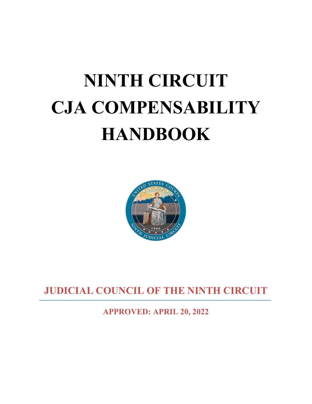# **NINTH CIRCUIT CJA COMPENSABILITY HANDBOOK**



**JUDICIAL COUNCIL OF THE NINTH CIRCUIT** 

**APPROVED: APRIL 20, 2022**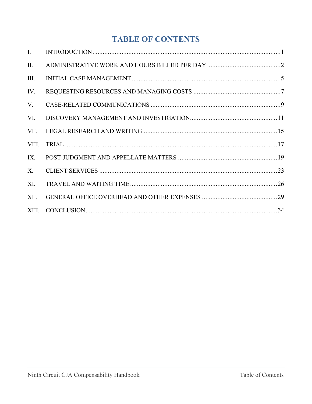# **TABLE OF CONTENTS**

| $\mathbf{I}$ . |  |
|----------------|--|
| П.             |  |
| III.           |  |
| IV.            |  |
| V.             |  |
| VI.            |  |
| VII.           |  |
| VIII.          |  |
| IX.            |  |
| $X_{\cdot}$    |  |
| XI.            |  |
| XII.           |  |
|                |  |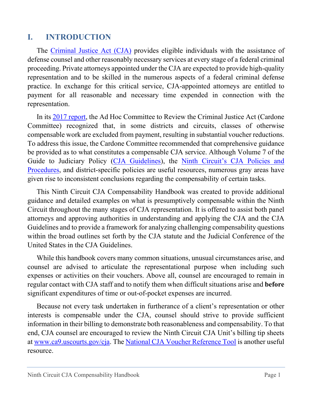#### <span id="page-2-0"></span>**I. INTRODUCTION**

The [Criminal Justice Act \(CJA\)](https://www.law.cornell.edu/uscode/text/18/3006A) provides eligible individuals with the assistance of defense counsel and other reasonably necessary services at every stage of a federal criminal proceeding. Private attorneys appointed under the CJA are expected to provide high-quality representation and to be skilled in the numerous aspects of a federal criminal defense practice. In exchange for this critical service, CJA-appointed attorneys are entitled to payment for all reasonable and necessary time expended in connection with the representation.

In its 2017 [report,](https://cjastudy.fd.org/sites/default/files/public-resources/Ad%20Hoc%20Report%20June%202018.hyperlinked.pdf) the Ad Hoc Committee to Review the Criminal Justice Act (Cardone Committee) recognized that, in some districts and circuits, classes of otherwise compensable work are excluded from payment, resulting in substantial voucher reductions. To address this issue, the Cardone Committee recommended that comprehensive guidance be provided as to what constitutes a compensable CJA service. Although Volume 7 of the Guide to Judiciary Policy [\(CJA Guidelines\)](https://www.uscourts.gov/rules-policies/judiciary-policies/criminal-justice-act-cja-guidelines?doc=/uscourts/FederalCourts/AppointmentOfCounsel/vol7/Vol_07.pdf), the [Ninth Circuit's CJA Policies and](https://cdn.ca9.uscourts.gov/datastore/cja/Circuit%20CJA%20Policies.pdf)  [Procedures,](https://cdn.ca9.uscourts.gov/datastore/cja/Circuit%20CJA%20Policies.pdf) and district-specific policies are useful resources, numerous gray areas have given rise to inconsistent conclusions regarding the compensability of certain tasks.

This Ninth Circuit CJA Compensability Handbook was created to provide additional guidance and detailed examples on what is presumptively compensable within the Ninth Circuit throughout the many stages of CJA representation. It is offered to assist both panel attorneys and approving authorities in understanding and applying the CJA and the CJA Guidelines and to provide a framework for analyzing challenging compensability questions within the broad outlines set forth by the CJA statute and the Judicial Conference of the United States in the CJA Guidelines.

While this handbook covers many common situations, unusual circumstances arise, and counsel are advised to articulate the representational purpose when including such expenses or activities on their vouchers. Above all, counsel are encouraged to remain in regular contact with CJA staff and to notify them when difficult situations arise and **before** significant expenditures of time or out-of-pocket expenses are incurred.

Because not every task undertaken in furtherance of a client's representation or other interests is compensable under the CJA, counsel should strive to provide sufficient information in their billing to demonstrate both reasonableness and compensability. To that end, CJA counsel are encouraged to review the Ninth Circuit CJA Unit's billing tip sheets at [www.ca9.uscourts.gov/cja.](https://www.ca9.uscourts.gov/attorneys/cja-resources/) The [National CJA Voucher Reference Tool](https://cjaresources.fd.org/cjaort/index.html) is another useful resource.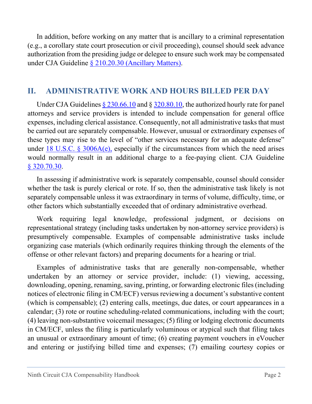<span id="page-3-1"></span>In addition, before working on any matter that is ancillary to a criminal representation (e.g., a corollary state court prosecution or civil proceeding), counsel should seek advance authorization from the presiding judge or delegee to ensure such work may be compensated under CJA Guideline [§ 210.20.30](https://www.uscourts.gov/rules-policies/judiciary-policies/cja-guidelines/chapter-2-ss-210-representation-under-cja#a210_20_30) (Ancillary Matters).

## <span id="page-3-0"></span>**II. ADMINISTRATIVE WORK AND HOURS BILLED PER DAY**

Under CJA Guideline[s § 230.66.10](https://www.uscourts.gov/rules-policies/judiciary-policies/cja-guidelines/chapter-2-ss-230-compensation-and-expenses#a230_66) and § [320.80.10,](https://www.uscourts.gov/rules-policies/judiciary-policies/cja-guidelines/chapter-3-ss-320-authorization-investigative-expert#a320_80) the authorized hourly rate for panel attorneys and service providers is intended to include compensation for general office expenses, including clerical assistance. Consequently, not all administrative tasks that must be carried out are separately compensable. However, unusual or extraordinary expenses of these types may rise to the level of "other services necessary for an adequate defense" under 18 U.S.C.  $\frac{1}{2}$  3006A(e), especially if the circumstances from which the need arises would normally result in an additional charge to a fee-paying client. CJA Guideline § [320.70.30.](https://www.uscourts.gov/rules-policies/judiciary-policies/cja-guidelines/chapter-3-ss-320-authorization-investigative-expert#a320_70)

In assessing if administrative work is separately compensable, counsel should consider whether the task is purely clerical or rote. If so, then the administrative task likely is not separately compensable unless it was extraordinary in terms of volume, difficulty, time, or other factors which substantially exceeded that of ordinary administrative overhead.

Work requiring legal knowledge, professional judgment, or decisions on representational strategy (including tasks undertaken by non-attorney service providers) is presumptively compensable. Examples of compensable administrative tasks include organizing case materials (which ordinarily requires thinking through the elements of the offense or other relevant factors) and preparing documents for a hearing or trial.

Examples of administrative tasks that are generally non-compensable, whether undertaken by an attorney or service provider, include: (1) viewing, accessing, downloading, opening, renaming, saving, printing, or forwarding electronic files (including notices of electronic filing in CM/ECF) versus reviewing a document's substantive content (which is compensable); (2) entering calls, meetings, due dates, or court appearances in a calendar; (3) rote or routine scheduling-related communications, including with the court; (4) leaving non-substantive voicemail messages; (5) filing or lodging electronic documents in CM/ECF, unless the filing is particularly voluminous or atypical such that filing takes an unusual or extraordinary amount of time; (6) creating payment vouchers in eVoucher and entering or justifying billed time and expenses; (7) emailing courtesy copies or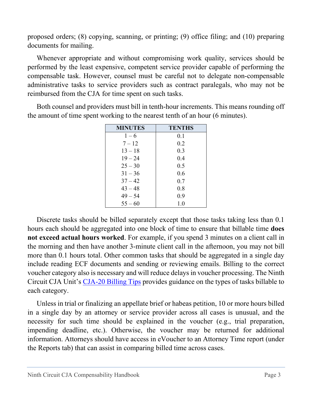proposed orders; (8) copying, scanning, or printing; (9) office filing; and (10) preparing documents for mailing.

Whenever appropriate and without compromising work quality, services should be performed by the least expensive, competent service provider capable of performing the compensable task. However, counsel must be careful not to delegate non-compensable administrative tasks to service providers such as contract paralegals, who may not be reimbursed from the CJA for time spent on such tasks.

| <b>MINUTES</b> | <b>TENTHS</b> |
|----------------|---------------|
| $1 - 6$        | 0.1           |
| $7 - 12$       | 0.2           |
| $13 - 18$      | 0.3           |
| $19 - 24$      | 0.4           |
| $25 - 30$      | 0.5           |
| $31 - 36$      | 0.6           |
| $37 - 42$      | 0.7           |
| $43 - 48$      | 0.8           |
| $49 - 54$      | 0.9           |
| $55 - 60$      | 1.0           |

Both counsel and providers must bill in tenth-hour increments. This means rounding off the amount of time spent working to the nearest tenth of an hour (6 minutes).

Discrete tasks should be billed separately except that those tasks taking less than 0.1 hours each should be aggregated into one block of time to ensure that billable time **does not exceed actual hours worked**. For example, if you spend 3 minutes on a client call in the morning and then have another 3-minute client call in the afternoon, you may not bill more than 0.1 hours total. Other common tasks that should be aggregated in a single day include reading ECF documents and sending or reviewing emails. Billing to the correct voucher category also is necessary and will reduce delays in voucher processing. The Ninth Circuit CJA Unit's [CJA-20 Billing Tips](https://circ9-datastore.s3.us-west-1.amazonaws.com/datastore/cja/CJA_Billing_Tips.pdf) provides guidance on the types of tasks billable to each category.

Unless in trial or finalizing an appellate brief or habeas petition, 10 or more hours billed in a single day by an attorney or service provider across all cases is unusual, and the necessity for such time should be explained in the voucher (e.g., trial preparation, impending deadline, etc.). Otherwise, the voucher may be returned for additional information. Attorneys should have access in eVoucher to an Attorney Time report (under the Reports tab) that can assist in comparing billed time across cases.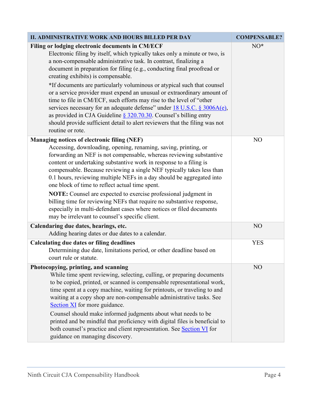| <b>II. ADMINISTRATIVE WORK AND HOURS BILLED PER DAY</b>                                                                                                                                                                                                                                                                                                                                                                                                                                                                                                                                                                                                                                                                                                                                                  | <b>COMPENSABLE?</b> |
|----------------------------------------------------------------------------------------------------------------------------------------------------------------------------------------------------------------------------------------------------------------------------------------------------------------------------------------------------------------------------------------------------------------------------------------------------------------------------------------------------------------------------------------------------------------------------------------------------------------------------------------------------------------------------------------------------------------------------------------------------------------------------------------------------------|---------------------|
| Filing or lodging electronic documents in CM/ECF<br>Electronic filing by itself, which typically takes only a minute or two, is<br>a non-compensable administrative task. In contrast, finalizing a<br>document in preparation for filing (e.g., conducting final proofread or<br>creating exhibits) is compensable.<br>*If documents are particularly voluminous or atypical such that counsel<br>or a service provider must expend an unusual or extraordinary amount of<br>time to file in CM/ECF, such efforts may rise to the level of "other<br>services necessary for an adequate defense" under 18 U.S.C. § 3006A(e),<br>as provided in CJA Guideline $\S$ 320.70.30. Counsel's billing entry<br>should provide sufficient detail to alert reviewers that the filing was not<br>routine or rote. | NO*                 |
| Managing notices of electronic filing (NEF)<br>Accessing, downloading, opening, renaming, saving, printing, or<br>forwarding an NEF is not compensable, whereas reviewing substantive<br>content or undertaking substantive work in response to a filing is<br>compensable. Because reviewing a single NEF typically takes less than<br>0.1 hours, reviewing multiple NEFs in a day should be aggregated into<br>one block of time to reflect actual time spent.<br>NOTE: Counsel are expected to exercise professional judgment in<br>billing time for reviewing NEFs that require no substantive response,<br>especially in multi-defendant cases where notices or filed documents<br>may be irrelevant to counsel's specific client.                                                                  | N <sub>O</sub>      |
| Calendaring due dates, hearings, etc.<br>Adding hearing dates or due dates to a calendar.                                                                                                                                                                                                                                                                                                                                                                                                                                                                                                                                                                                                                                                                                                                | N <sub>O</sub>      |
| <b>Calculating due dates or filing deadlines</b><br>Determining due date, limitations period, or other deadline based on<br>court rule or statute.                                                                                                                                                                                                                                                                                                                                                                                                                                                                                                                                                                                                                                                       | <b>YES</b>          |
| Photocopying, printing, and scanning<br>While time spent reviewing, selecting, culling, or preparing documents<br>to be copied, printed, or scanned is compensable representational work,<br>time spent at a copy machine, waiting for printouts, or traveling to and<br>waiting at a copy shop are non-compensable administrative tasks. See<br>Section XI for more guidance.<br>Counsel should make informed judgments about what needs to be<br>printed and be mindful that proficiency with digital files is beneficial to<br>both counsel's practice and client representation. See Section VI for<br>guidance on managing discovery.                                                                                                                                                               | N <sub>O</sub>      |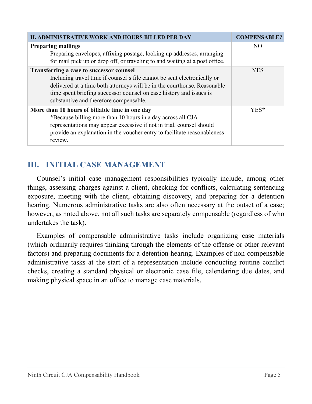| II. ADMINISTRATIVE WORK AND HOURS BILLED PER DAY                                                                                                      | <b>COMPENSABLE?</b> |
|-------------------------------------------------------------------------------------------------------------------------------------------------------|---------------------|
| <b>Preparing mailings</b>                                                                                                                             | NO <sub>1</sub>     |
| Preparing envelopes, affixing postage, looking up addresses, arranging<br>for mail pick up or drop off, or traveling to and waiting at a post office. |                     |
| Transferring a case to successor counsel                                                                                                              | <b>YES</b>          |
| Including travel time if counsel's file cannot be sent electronically or                                                                              |                     |
| delivered at a time both attorneys will be in the courthouse. Reasonable                                                                              |                     |
| time spent briefing successor counsel on case history and issues is                                                                                   |                     |
| substantive and therefore compensable.                                                                                                                |                     |
| More than 10 hours of billable time in one day                                                                                                        | YES*                |
| *Because billing more than 10 hours in a day across all CJA                                                                                           |                     |
| representations may appear excessive if not in trial, counsel should                                                                                  |                     |
| provide an explanation in the voucher entry to facilitate reasonableness                                                                              |                     |
| review.                                                                                                                                               |                     |

## <span id="page-6-0"></span>**III. INITIAL CASE MANAGEMENT**

Counsel's initial case management responsibilities typically include, among other things, assessing charges against a client, checking for conflicts, calculating sentencing exposure, meeting with the client, obtaining discovery, and preparing for a detention hearing. Numerous administrative tasks are also often necessary at the outset of a case; however, as noted above, not all such tasks are separately compensable (regardless of who undertakes the task).

Examples of compensable administrative tasks include organizing case materials (which ordinarily requires thinking through the elements of the offense or other relevant factors) and preparing documents for a detention hearing. Examples of non-compensable administrative tasks at the start of a representation include conducting routine conflict checks, creating a standard physical or electronic case file, calendaring due dates, and making physical space in an office to manage case materials.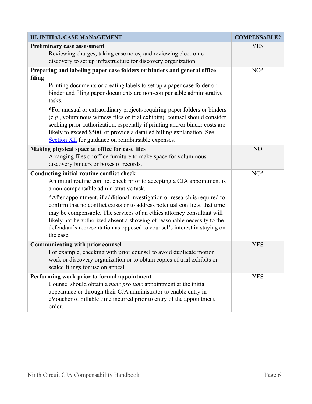| <b>III. INITIAL CASE MANAGEMENT</b>                                                                                                                                                                                                                                                                                                                                                                                                                                                                                                                                                                                      | <b>COMPENSABLE?</b> |
|--------------------------------------------------------------------------------------------------------------------------------------------------------------------------------------------------------------------------------------------------------------------------------------------------------------------------------------------------------------------------------------------------------------------------------------------------------------------------------------------------------------------------------------------------------------------------------------------------------------------------|---------------------|
| Preliminary case assessment<br>Reviewing charges, taking case notes, and reviewing electronic<br>discovery to set up infrastructure for discovery organization.                                                                                                                                                                                                                                                                                                                                                                                                                                                          | <b>YES</b>          |
| Preparing and labeling paper case folders or binders and general office<br>filing<br>Printing documents or creating labels to set up a paper case folder or<br>binder and filing paper documents are non-compensable administrative<br>tasks.<br>*For unusual or extraordinary projects requiring paper folders or binders<br>(e.g., voluminous witness files or trial exhibits), counsel should consider<br>seeking prior authorization, especially if printing and/or binder costs are<br>likely to exceed \$500, or provide a detailed billing explanation. See<br>Section XII for guidance on reimbursable expenses. | NO*                 |
| Making physical space at office for case files<br>Arranging files or office furniture to make space for voluminous<br>discovery binders or boxes of records.                                                                                                                                                                                                                                                                                                                                                                                                                                                             | NO                  |
| Conducting initial routine conflict check<br>An initial routine conflict check prior to accepting a CJA appointment is<br>a non-compensable administrative task.<br>*After appointment, if additional investigation or research is required to<br>confirm that no conflict exists or to address potential conflicts, that time<br>may be compensable. The services of an ethics attorney consultant will<br>likely not be authorized absent a showing of reasonable necessity to the<br>defendant's representation as opposed to counsel's interest in staying on<br>the case.                                           | $NO^*$              |
| <b>Communicating with prior counsel</b><br>For example, checking with prior counsel to avoid duplicate motion<br>work or discovery organization or to obtain copies of trial exhibits or<br>sealed filings for use on appeal.                                                                                                                                                                                                                                                                                                                                                                                            | <b>YES</b>          |
| Performing work prior to formal appointment<br>Counsel should obtain a nunc pro tunc appointment at the initial<br>appearance or through their CJA administrator to enable entry in<br>eVoucher of billable time incurred prior to entry of the appointment<br>order.                                                                                                                                                                                                                                                                                                                                                    | <b>YES</b>          |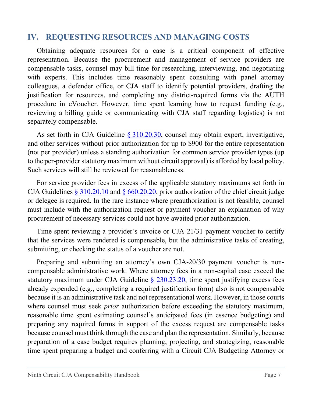#### <span id="page-8-0"></span>**IV. REQUESTING RESOURCES AND MANAGING COSTS**

Obtaining adequate resources for a case is a critical component of effective representation. Because the procurement and management of service providers are compensable tasks, counsel may bill time for researching, interviewing, and negotiating with experts. This includes time reasonably spent consulting with panel attorney colleagues, a defender office, or CJA staff to identify potential providers, drafting the justification for resources, and completing any district-required forms via the AUTH procedure in eVoucher. However, time spent learning how to request funding (e.g., reviewing a billing guide or communicating with CJA staff regarding logistics) is not separately compensable.

As set forth in CJA Guideline § [310.20.30,](https://www.uscourts.gov/rules-policies/judiciary-policies/cja-guidelines/chapter-3-ss-310-general#a310_20) counsel may obtain expert, investigative, and other services without prior authorization for up to \$900 for the entire representation (not per provider) unless a standing authorization for common service provider types (up to the per-provider statutory maximum without circuit approval) is afforded by local policy. Such services will still be reviewed for reasonableness.

For service provider fees in excess of the applicable statutory maximums set forth in CJA Guidelines § [310.20.10](https://www.uscourts.gov/rules-policies/judiciary-policies/cja-guidelines/chapter-3-ss-310-general#a310_20) and [§ 660.20.20,](https://www.uscourts.gov/rules-policies/judiciary-policies/cja-guidelines/chapter-6-ss-660-authorization-and-payment#a660_20) prior authorization of the chief circuit judge or delegee is required. In the rare instance where preauthorization is not feasible, counsel must include with the authorization request or payment voucher an explanation of why procurement of necessary services could not have awaited prior authorization.

Time spent reviewing a provider's invoice or CJA-21/31 payment voucher to certify that the services were rendered is compensable, but the administrative tasks of creating, submitting, or checking the status of a voucher are not.

Preparing and submitting an attorney's own CJA-20/30 payment voucher is noncompensable administrative work. Where attorney fees in a non-capital case exceed the statutory maximum under CJA Guideline  $\S$  230.23.20, time spent justifying excess fees already expended (e.g., completing a required justification form) also is not compensable because it is an administrative task and not representational work. However, in those courts where counsel must seek *prior* authorization before exceeding the statutory maximum, reasonable time spent estimating counsel's anticipated fees (in essence budgeting) and preparing any required forms in support of the excess request are compensable tasks because counsel must think through the case and plan the representation. Similarly, because preparation of a case budget requires planning, projecting, and strategizing, reasonable time spent preparing a budget and conferring with a Circuit CJA Budgeting Attorney or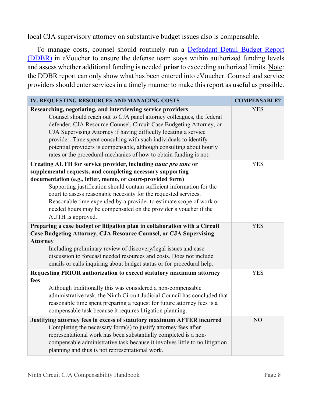local CJA supervisory attorney on substantive budget issues also is compensable.

To manage costs, counsel should routinely run a [Defendant Detail Budget Report](https://circ9-datastore.s3.us-west-1.amazonaws.com/datastore/cja/How%20to%20View%20DDBR.pdf) [\(DDBR\)](https://circ9-datastore.s3.us-west-1.amazonaws.com/datastore/cja/How%20to%20View%20DDBR.pdf) in eVoucher to ensure the defense team stays within authorized funding levels and assess whether additional funding is needed **prior** to exceeding authorized limits. Note: the DDBR report can only show what has been entered into eVoucher. Counsel and service providers should enter services in a timely manner to make this report as useful as possible.

| IV. REQUESTING RESOURCES AND MANAGING COSTS                                                                                                                                                                                                                                                                                                                                                                                                                                                              | <b>COMPENSABLE?</b> |
|----------------------------------------------------------------------------------------------------------------------------------------------------------------------------------------------------------------------------------------------------------------------------------------------------------------------------------------------------------------------------------------------------------------------------------------------------------------------------------------------------------|---------------------|
| Researching, negotiating, and interviewing service providers<br>Counsel should reach out to CJA panel attorney colleagues, the federal<br>defender, CJA Resource Counsel, Circuit Case Budgeting Attorney, or<br>CJA Supervising Attorney if having difficulty locating a service<br>provider. Time spent consulting with such individuals to identify<br>potential providers is compensable, although consulting about hourly<br>rates or the procedural mechanics of how to obtain funding is not.     | <b>YES</b>          |
| Creating AUTH for service provider, including nunc pro tunc or<br>supplemental requests, and completing necessary supporting<br>documentation (e.g., letter, memo, or court-provided form)<br>Supporting justification should contain sufficient information for the<br>court to assess reasonable necessity for the requested services.<br>Reasonable time expended by a provider to estimate scope of work or<br>needed hours may be compensated on the provider's voucher if the<br>AUTH is approved. | <b>YES</b>          |
| Preparing a case budget or litigation plan in collaboration with a Circuit<br><b>Case Budgeting Attorney, CJA Resource Counsel, or CJA Supervising</b><br><b>Attorney</b><br>Including preliminary review of discovery/legal issues and case<br>discussion to forecast needed resources and costs. Does not include<br>emails or calls inquiring about budget status or for procedural help.                                                                                                             | <b>YES</b>          |
| Requesting PRIOR authorization to exceed statutory maximum attorney<br>fees<br>Although traditionally this was considered a non-compensable<br>administrative task, the Ninth Circuit Judicial Council has concluded that<br>reasonable time spent preparing a request for future attorney fees is a<br>compensable task because it requires litigation planning.                                                                                                                                        | <b>YES</b>          |
| Justifying attorney fees in excess of statutory maximum AFTER incurred<br>Completing the necessary form(s) to justify attorney fees after<br>representational work has been substantially completed is a non-<br>compensable administrative task because it involves little to no litigation<br>planning and thus is not representational work.                                                                                                                                                          | N <sub>O</sub>      |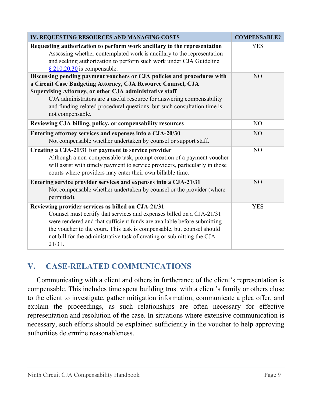| IV. REQUESTING RESOURCES AND MANAGING COSTS                                                                                                                                                                                                                                                                                                                                | <b>COMPENSABLE?</b> |
|----------------------------------------------------------------------------------------------------------------------------------------------------------------------------------------------------------------------------------------------------------------------------------------------------------------------------------------------------------------------------|---------------------|
| Requesting authorization to perform work ancillary to the representation<br>Assessing whether contemplated work is ancillary to the representation<br>and seeking authorization to perform such work under CJA Guideline<br>$§$ 210.20.30 is compensable.                                                                                                                  | <b>YES</b>          |
| Discussing pending payment vouchers or CJA policies and procedures with<br>a Circuit Case Budgeting Attorney, CJA Resource Counsel, CJA<br>Supervising Attorney, or other CJA administrative staff<br>CJA administrators are a useful resource for answering compensability<br>and funding-related procedural questions, but such consultation time is<br>not compensable. | NO                  |
| Reviewing CJA billing, policy, or compensability resources                                                                                                                                                                                                                                                                                                                 | N <sub>O</sub>      |
| Entering attorney services and expenses into a CJA-20/30<br>Not compensable whether undertaken by counsel or support staff.                                                                                                                                                                                                                                                | N <sub>O</sub>      |
| Creating a CJA-21/31 for payment to service provider<br>Although a non-compensable task, prompt creation of a payment voucher<br>will assist with timely payment to service providers, particularly in those<br>courts where providers may enter their own billable time.                                                                                                  | NO                  |
| Entering service provider services and expenses into a CJA-21/31<br>Not compensable whether undertaken by counsel or the provider (where<br>permitted).                                                                                                                                                                                                                    | NO                  |
| Reviewing provider services as billed on CJA-21/31<br>Counsel must certify that services and expenses billed on a CJA-21/31<br>were rendered and that sufficient funds are available before submitting<br>the voucher to the court. This task is compensable, but counsel should<br>not bill for the administrative task of creating or submitting the CJA-<br>21/31.      | <b>YES</b>          |

## <span id="page-10-0"></span>**V. CASE-RELATED COMMUNICATIONS**

Communicating with a client and others in furtherance of the client's representation is compensable. This includes time spent building trust with a client's family or others close to the client to investigate, gather mitigation information, communicate a plea offer, and explain the proceedings, as such relationships are often necessary for effective representation and resolution of the case. In situations where extensive communication is necessary, such efforts should be explained sufficiently in the voucher to help approving authorities determine reasonableness.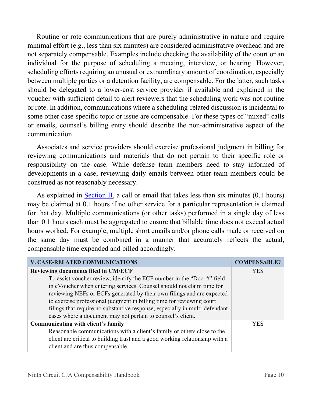Routine or rote communications that are purely administrative in nature and require minimal effort (e.g., less than six minutes) are considered administrative overhead and are not separately compensable. Examples include checking the availability of the court or an individual for the purpose of scheduling a meeting, interview, or hearing. However, scheduling efforts requiring an unusual or extraordinary amount of coordination, especially between multiple parties or a detention facility, are compensable. For the latter, such tasks should be delegated to a lower-cost service provider if available and explained in the voucher with sufficient detail to alert reviewers that the scheduling work was not routine or rote. In addition, communications where a scheduling-related discussion is incidental to some other case-specific topic or issue are compensable. For these types of "mixed" calls or emails, counsel's billing entry should describe the non-administrative aspect of the communication.

Associates and service providers should exercise professional judgment in billing for reviewing communications and materials that do not pertain to their specific role or responsibility on the case. While defense team members need to stay informed of developments in a case, reviewing daily emails between other team members could be construed as not reasonably necessary.

As explained in [Section II,](#page-3-1) a call or email that takes less than six minutes  $(0.1$  hours) may be claimed at 0.1 hours if no other service for a particular representation is claimed for that day. Multiple communications (or other tasks) performed in a single day of less than 0.1 hours each must be aggregated to ensure that billable time does not exceed actual hours worked. For example, multiple short emails and/or phone calls made or received on the same day must be combined in a manner that accurately reflects the actual, compensable time expended and billed accordingly.

| <b>V. CASE-RELATED COMMUNICATIONS</b>                                        | <b>COMPENSABLE?</b> |
|------------------------------------------------------------------------------|---------------------|
| <b>Reviewing documents filed in CM/ECF</b>                                   | <b>YES</b>          |
| To assist voucher review, identify the ECF number in the "Doc. #" field      |                     |
| in eVoucher when entering services. Counsel should not claim time for        |                     |
| reviewing NEFs or ECFs generated by their own filings and are expected       |                     |
| to exercise professional judgment in billing time for reviewing court        |                     |
| filings that require no substantive response, especially in multi-defendant  |                     |
| cases where a document may not pertain to counsel's client.                  |                     |
| Communicating with client's family                                           | YES                 |
| Reasonable communications with a client's family or others close to the      |                     |
| client are critical to building trust and a good working relationship with a |                     |
| client and are thus compensable.                                             |                     |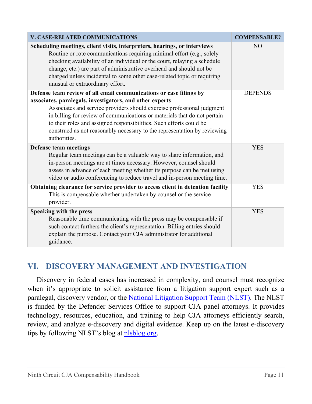| <b>V. CASE-RELATED COMMUNICATIONS</b>                                                                                                                                                                                                                                                                                                                                                                                                                   | <b>COMPENSABLE?</b> |
|---------------------------------------------------------------------------------------------------------------------------------------------------------------------------------------------------------------------------------------------------------------------------------------------------------------------------------------------------------------------------------------------------------------------------------------------------------|---------------------|
| Scheduling meetings, client visits, interpreters, hearings, or interviews<br>Routine or rote communications requiring minimal effort (e.g., solely<br>checking availability of an individual or the court, relaying a schedule<br>change, etc.) are part of administrative overhead and should not be<br>charged unless incidental to some other case-related topic or requiring<br>unusual or extraordinary effort.                                    | NO <sub>1</sub>     |
| Defense team review of all email communications or case filings by<br>associates, paralegals, investigators, and other experts<br>Associates and service providers should exercise professional judgment<br>in billing for review of communications or materials that do not pertain<br>to their roles and assigned responsibilities. Such efforts could be<br>construed as not reasonably necessary to the representation by reviewing<br>authorities. | <b>DEPENDS</b>      |
| <b>Defense team meetings</b><br>Regular team meetings can be a valuable way to share information, and<br>in-person meetings are at times necessary. However, counsel should<br>assess in advance of each meeting whether its purpose can be met using<br>video or audio conferencing to reduce travel and in-person meeting time.                                                                                                                       | <b>YES</b>          |
| Obtaining clearance for service provider to access client in detention facility<br>This is compensable whether undertaken by counsel or the service<br>provider.                                                                                                                                                                                                                                                                                        | <b>YES</b>          |
| Speaking with the press<br>Reasonable time communicating with the press may be compensable if<br>such contact furthers the client's representation. Billing entries should<br>explain the purpose. Contact your CJA administrator for additional<br>guidance.                                                                                                                                                                                           | <b>YES</b>          |

## <span id="page-12-0"></span>**VI. DISCOVERY MANAGEMENT AND INVESTIGATION**

Discovery in federal cases has increased in complexity, and counsel must recognize when it's appropriate to solicit assistance from a litigation support expert such as a paralegal, discovery vendor, or the [National Litigation Support Team \(NLST\).](https://www.fd.org/litigation-support/who-national-litigation-support-team) The NLST is funded by the Defender Services Office to support CJA panel attorneys. It provides technology, resources, education, and training to help CJA attorneys efficiently search, review, and analyze e-discovery and digital evidence. Keep up on the latest e-discovery tips by following NLST's blog at [nlsblog.org.](https://nlsblog.org/)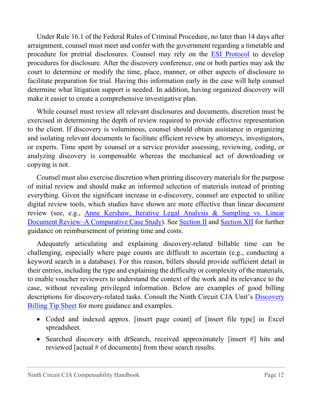Under Rule 16.1 of the Federal Rules of Criminal Procedure, no later than 14 days after arraignment, counsel must meet and confer with the government regarding a timetable and procedure for pretrial disclosures. Counsel may rely on the [ESI Protocol](https://www.uscourts.gov/sites/default/files/finalesiprotocolbookmarked.pdf) to develop procedures for disclosure. After the discovery conference, one or both parties may ask the court to determine or modify the time, place, manner, or other aspects of disclosure to facilitate preparation for trial. Having this information early in the case will help counsel determine what litigation support is needed. In addition, having organized discovery will make it easier to create a comprehensive investigative plan.

While counsel must review all relevant disclosures and documents, discretion must be exercised in determining the depth of review required to provide effective representation to the client. If discovery is voluminous, counsel should obtain assistance in organizing and isolating relevant documents to facilitate efficient review by attorneys, investigators, or experts. Time spent by counsel or a service provider assessing, reviewing, coding, or analyzing discovery is compensable whereas the mechanical act of downloading or copying is not.

Counsel must also exercise discretion when printing discovery materials for the purpose of initial review and should make an informed selection of materials instead of printing everything. Given the significant increase in e-discovery, counsel are expected to utilize digital review tools, which studies have shown are more effective than linear document review (see, e.g., [Anne Kershaw, Iterative Legal Analysis & Sampling vs. Linear](https://reasonablediscovery.com/wp-content/uploads/2016/06/ILAS-v.-Linear-Review.pdf)  [Document Review–A Comparative Case Study\)](https://reasonablediscovery.com/wp-content/uploads/2016/06/ILAS-v.-Linear-Review.pdf). See [Section](#page-3-1) II and [Section](#page-30-0) XII for further guidance on reimbursement of printing time and costs.

Adequately articulating and explaining discovery‐related billable time can be challenging, especially where page counts are difficult to ascertain (e.g., conducting a keyword search in a database). For this reason, billers should provide sufficient detail in their entries, including the type and explaining the difficulty or complexity of the materials, to enable voucher reviewers to understand the context of the work and its relevance to the case, without revealing privileged information. Below are examples of good billing descriptions for discovery-related tasks. Consult the Ninth Circuit CJA Unit's [Discovery](https://circ9-datastore.s3.us-west-1.amazonaws.com/datastore/cja/Discovery%20Billing%20Tips.pdf)  [Billing Tip Sheet](https://circ9-datastore.s3.us-west-1.amazonaws.com/datastore/cja/Discovery%20Billing%20Tips.pdf) for more guidance and examples.

- Coded and indexed approx. [insert page count] of [insert file type] in Excel spreadsheet.
- Searched discovery with dtSearch, received approximately [insert #] hits and reviewed [actual # of documents] from these search results.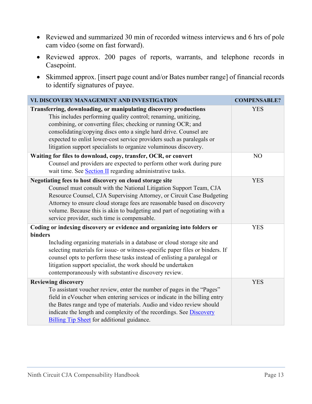- Reviewed and summarized 30 min of recorded witness interviews and 6 hrs of pole cam video (some on fast forward).
- Reviewed approx. 200 pages of reports, warrants, and telephone records in Casepoint.
- Skimmed approx. [insert page count and/or Bates number range] of financial records to identify signatures of payee.

| VI. DISCOVERY MANAGEMENT AND INVESTIGATION                                                                                                                                                                                                                                                                                                                                                                                                       | <b>COMPENSABLE?</b> |
|--------------------------------------------------------------------------------------------------------------------------------------------------------------------------------------------------------------------------------------------------------------------------------------------------------------------------------------------------------------------------------------------------------------------------------------------------|---------------------|
| Transferring, downloading, or manipulating discovery productions<br>This includes performing quality control; renaming, unitizing,<br>combining, or converting files; checking or running OCR; and<br>consolidating/copying discs onto a single hard drive. Counsel are<br>expected to enlist lower-cost service providers such as paralegals or<br>litigation support specialists to organize voluminous discovery.                             | <b>YES</b>          |
| Waiting for files to download, copy, transfer, OCR, or convert<br>Counsel and providers are expected to perform other work during pure<br>wait time. See Section II regarding administrative tasks.                                                                                                                                                                                                                                              | NO                  |
| Negotiating fees to host discovery on cloud storage site<br>Counsel must consult with the National Litigation Support Team, CJA<br>Resource Counsel, CJA Supervising Attorney, or Circuit Case Budgeting<br>Attorney to ensure cloud storage fees are reasonable based on discovery<br>volume. Because this is akin to budgeting and part of negotiating with a<br>service provider, such time is compensable.                                   | <b>YES</b>          |
| Coding or indexing discovery or evidence and organizing into folders or<br>binders<br>Including organizing materials in a database or cloud storage site and<br>selecting materials for issue- or witness-specific paper files or binders. If<br>counsel opts to perform these tasks instead of enlisting a paralegal or<br>litigation support specialist, the work should be undertaken<br>contemporaneously with substantive discovery review. | <b>YES</b>          |
| <b>Reviewing discovery</b><br>To assistant voucher review, enter the number of pages in the "Pages"<br>field in eVoucher when entering services or indicate in the billing entry<br>the Bates range and type of materials. Audio and video review should<br>indicate the length and complexity of the recordings. See <b>Discovery</b><br><b>Billing Tip Sheet</b> for additional guidance.                                                      | <b>YES</b>          |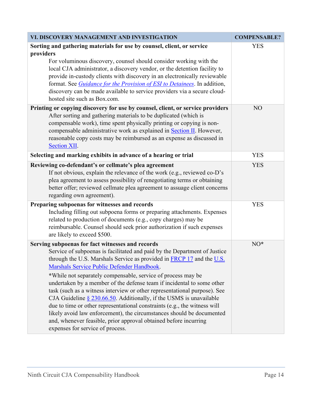| VI. DISCOVERY MANAGEMENT AND INVESTIGATION                                                                                                                                                                                                                                                                                                                                                                                                                                                                                                                                                                                                                                                                                                                                                                           | <b>COMPENSABLE?</b> |
|----------------------------------------------------------------------------------------------------------------------------------------------------------------------------------------------------------------------------------------------------------------------------------------------------------------------------------------------------------------------------------------------------------------------------------------------------------------------------------------------------------------------------------------------------------------------------------------------------------------------------------------------------------------------------------------------------------------------------------------------------------------------------------------------------------------------|---------------------|
| Sorting and gathering materials for use by counsel, client, or service<br>providers<br>For voluminous discovery, counsel should consider working with the<br>local CJA administrator, a discovery vendor, or the detention facility to<br>provide in-custody clients with discovery in an electronically reviewable<br>format. See <i>Guidance for the Provision of ESI to Detainees</i> . In addition,<br>discovery can be made available to service providers via a secure cloud-<br>hosted site such as Box.com.                                                                                                                                                                                                                                                                                                  | <b>YES</b>          |
| Printing or copying discovery for use by counsel, client, or service providers<br>After sorting and gathering materials to be duplicated (which is<br>compensable work), time spent physically printing or copying is non-<br>compensable administrative work as explained in <b>Section II</b> . However,<br>reasonable copy costs may be reimbursed as an expense as discussed in<br><b>Section XII.</b>                                                                                                                                                                                                                                                                                                                                                                                                           | NO                  |
| Selecting and marking exhibits in advance of a hearing or trial                                                                                                                                                                                                                                                                                                                                                                                                                                                                                                                                                                                                                                                                                                                                                      | <b>YES</b>          |
| Reviewing co-defendant's or cellmate's plea agreement<br>If not obvious, explain the relevance of the work (e.g., reviewed co-D's<br>plea agreement to assess possibility of renegotiating terms or obtaining<br>better offer; reviewed cellmate plea agreement to assuage client concerns<br>regarding own agreement).                                                                                                                                                                                                                                                                                                                                                                                                                                                                                              | <b>YES</b>          |
| Preparing subpoenas for witnesses and records<br>Including filling out subpoena forms or preparing attachments. Expenses<br>related to production of documents (e.g., copy charges) may be<br>reimbursable. Counsel should seek prior authorization if such expenses<br>are likely to exceed \$500.                                                                                                                                                                                                                                                                                                                                                                                                                                                                                                                  | <b>YES</b>          |
| Serving subpoenas for fact witnesses and records<br>Service of subpoenas is facilitated and paid by the Department of Justice<br>through the U.S. Marshals Service as provided in FRCP 17 and the U.S.<br>Marshals Service Public Defender Handbook.<br>*While not separately compensable, service of process may be<br>undertaken by a member of the defense team if incidental to some other<br>task (such as a witness interview or other representational purpose). See<br>CJA Guideline $\S 230.66.50$ . Additionally, if the USMS is unavailable<br>due to time or other representational constraints (e.g., the witness will<br>likely avoid law enforcement), the circumstances should be documented<br>and, whenever feasible, prior approval obtained before incurring<br>expenses for service of process. | $NO^*$              |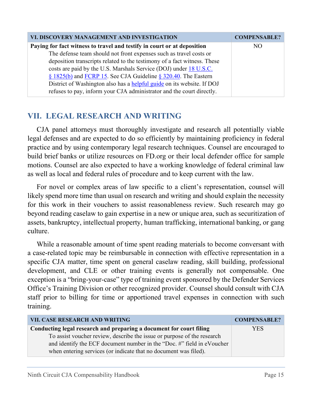| VI. DISCOVERY MANAGEMENT AND INVESTIGATION                               | <b>COMPENSABLE?</b> |
|--------------------------------------------------------------------------|---------------------|
| Paying for fact witness to travel and testify in court or at deposition  | NO.                 |
| The defense team should not front expenses such as travel costs or       |                     |
| deposition transcripts related to the testimony of a fact witness. These |                     |
| costs are paid by the U.S. Marshals Service (DOJ) under 18 U.S.C.        |                     |
| $\S$ 1825(b) and FCRP 15. See CJA Guideline $\S$ 320.40. The Eastern     |                     |
| District of Washington also has a helpful guide on its website. If DOJ   |                     |
| refuses to pay, inform your CJA administrator and the court directly.    |                     |

# <span id="page-16-0"></span>**VII. LEGAL RESEARCH AND WRITING**

CJA panel attorneys must thoroughly investigate and research all potentially viable legal defenses and are expected to do so efficiently by maintaining proficiency in federal practice and by using contemporary legal research techniques. Counsel are encouraged to build brief banks or utilize resources on FD.org or their local defender office for sample motions. Counsel are also expected to have a working knowledge of federal criminal law as well as local and federal rules of procedure and to keep current with the law.

For novel or complex areas of law specific to a client's representation, counsel will likely spend more time than usual on research and writing and should explain the necessity for this work in their vouchers to assist reasonableness review. Such research may go beyond reading caselaw to gain expertise in a new or unique area, such as securitization of assets, bankruptcy, intellectual property, human trafficking, international banking, or gang culture.

While a reasonable amount of time spent reading materials to become conversant with a case-related topic may be reimbursable in connection with effective representation in a specific CJA matter, time spent on general caselaw reading, skill building, professional development, and CLE or other training events is generally not compensable. One exception is a "bring-your-case" type of training event sponsored by the Defender Services Office's Training Division or other recognized provider. Counsel should consult with CJA staff prior to billing for time or apportioned travel expenses in connection with such training.

| VII. CASE RESEARCH AND WRITING                                          | <b>COMPENSABLE?</b> |
|-------------------------------------------------------------------------|---------------------|
| Conducting legal research and preparing a document for court filing     | YES.                |
| To assist voucher review, describe the issue or purpose of the research |                     |
| and identify the ECF document number in the "Doc. #" field in eVoucher  |                     |
| when entering services (or indicate that no document was filed).        |                     |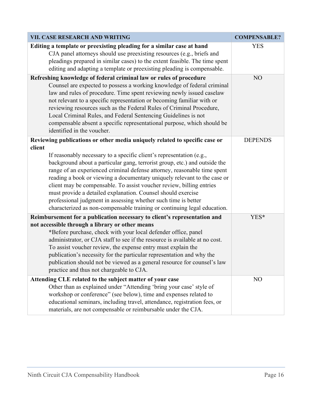| VII. CASE RESEARCH AND WRITING                                                                                                                                                                                                                                                                                                                                                                                                                                                                                                                                                                                                                                                           | <b>COMPENSABLE?</b> |
|------------------------------------------------------------------------------------------------------------------------------------------------------------------------------------------------------------------------------------------------------------------------------------------------------------------------------------------------------------------------------------------------------------------------------------------------------------------------------------------------------------------------------------------------------------------------------------------------------------------------------------------------------------------------------------------|---------------------|
| Editing a template or preexisting pleading for a similar case at hand<br>CJA panel attorneys should use preexisting resources (e.g., briefs and<br>pleadings prepared in similar cases) to the extent feasible. The time spent<br>editing and adapting a template or preexisting pleading is compensable.                                                                                                                                                                                                                                                                                                                                                                                | <b>YES</b>          |
| Refreshing knowledge of federal criminal law or rules of procedure<br>Counsel are expected to possess a working knowledge of federal criminal<br>law and rules of procedure. Time spent reviewing newly issued caselaw<br>not relevant to a specific representation or becoming familiar with or<br>reviewing resources such as the Federal Rules of Criminal Procedure,<br>Local Criminal Rules, and Federal Sentencing Guidelines is not<br>compensable absent a specific representational purpose, which should be<br>identified in the voucher.                                                                                                                                      | NO                  |
| Reviewing publications or other media uniquely related to specific case or<br>client<br>If reasonably necessary to a specific client's representation (e.g.,<br>background about a particular gang, terrorist group, etc.) and outside the<br>range of an experienced criminal defense attorney, reasonable time spent<br>reading a book or viewing a documentary uniquely relevant to the case or<br>client may be compensable. To assist voucher review, billing entries<br>must provide a detailed explanation. Counsel should exercise<br>professional judgment in assessing whether such time is better<br>characterized as non-compensable training or continuing legal education. | <b>DEPENDS</b>      |
| Reimbursement for a publication necessary to client's representation and<br>not accessible through a library or other means<br>*Before purchase, check with your local defender office, panel<br>administrator, or CJA staff to see if the resource is available at no cost.<br>To assist voucher review, the expense entry must explain the<br>publication's necessity for the particular representation and why the<br>publication should not be viewed as a general resource for counsel's law<br>practice and thus not chargeable to CJA.                                                                                                                                            | YES*                |
| Attending CLE related to the subject matter of your case<br>Other than as explained under "Attending 'bring your case' style of<br>workshop or conference" (see below), time and expenses related to<br>educational seminars, including travel, attendance, registration fees, or<br>materials, are not compensable or reimbursable under the CJA.                                                                                                                                                                                                                                                                                                                                       | N <sub>O</sub>      |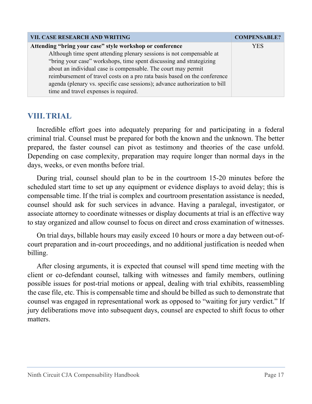| <b>VII. CASE RESEARCH AND WRITING</b>                                      | <b>COMPENSABLE?</b> |
|----------------------------------------------------------------------------|---------------------|
| Attending "bring your case" style workshop or conference                   | <b>YES</b>          |
| Although time spent attending plenary sessions is not compensable at       |                     |
| "bring your case" workshops, time spent discussing and strategizing        |                     |
| about an individual case is compensable. The court may permit              |                     |
| reimbursement of travel costs on a pro rata basis based on the conference  |                     |
| agenda (plenary vs. specific case sessions); advance authorization to bill |                     |
| time and travel expenses is required.                                      |                     |

### <span id="page-18-0"></span>**VIII.TRIAL**

Incredible effort goes into adequately preparing for and participating in a federal criminal trial. Counsel must be prepared for both the known and the unknown. The better prepared, the faster counsel can pivot as testimony and theories of the case unfold. Depending on case complexity, preparation may require longer than normal days in the days, weeks, or even months before trial.

During trial, counsel should plan to be in the courtroom 15-20 minutes before the scheduled start time to set up any equipment or evidence displays to avoid delay; this is compensable time. If the trial is complex and courtroom presentation assistance is needed, counsel should ask for such services in advance. Having a paralegal, investigator, or associate attorney to coordinate witnesses or display documents at trial is an effective way to stay organized and allow counsel to focus on direct and cross examination of witnesses.

On trial days, billable hours may easily exceed 10 hours or more a day between out-ofcourt preparation and in-court proceedings, and no additional justification is needed when billing.

After closing arguments, it is expected that counsel will spend time meeting with the client or co-defendant counsel, talking with witnesses and family members, outlining possible issues for post-trial motions or appeal, dealing with trial exhibits, reassembling the case file, etc. This is compensable time and should be billed as such to demonstrate that counsel was engaged in representational work as opposed to "waiting for jury verdict." If jury deliberations move into subsequent days, counsel are expected to shift focus to other matters.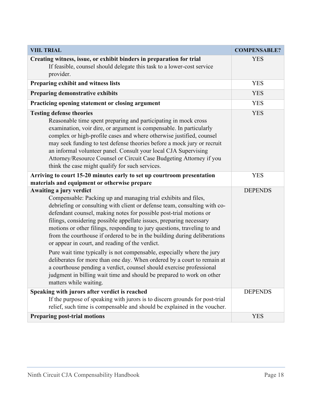| <b>VIII. TRIAL</b>                                                                                                                                                                                                                                                                                                                                                                                                                                                                                                                                                                                        | <b>COMPENSABLE?</b> |
|-----------------------------------------------------------------------------------------------------------------------------------------------------------------------------------------------------------------------------------------------------------------------------------------------------------------------------------------------------------------------------------------------------------------------------------------------------------------------------------------------------------------------------------------------------------------------------------------------------------|---------------------|
| Creating witness, issue, or exhibit binders in preparation for trial<br>If feasible, counsel should delegate this task to a lower-cost service<br>provider.                                                                                                                                                                                                                                                                                                                                                                                                                                               | <b>YES</b>          |
| Preparing exhibit and witness lists                                                                                                                                                                                                                                                                                                                                                                                                                                                                                                                                                                       | <b>YES</b>          |
| Preparing demonstrative exhibits                                                                                                                                                                                                                                                                                                                                                                                                                                                                                                                                                                          | <b>YES</b>          |
| Practicing opening statement or closing argument                                                                                                                                                                                                                                                                                                                                                                                                                                                                                                                                                          | <b>YES</b>          |
| <b>Testing defense theories</b><br>Reasonable time spent preparing and participating in mock cross<br>examination, voir dire, or argument is compensable. In particularly<br>complex or high-profile cases and where otherwise justified, counsel<br>may seek funding to test defense theories before a mock jury or recruit<br>an informal volunteer panel. Consult your local CJA Supervising<br>Attorney/Resource Counsel or Circuit Case Budgeting Attorney if you<br>think the case might qualify for such services.                                                                                 | <b>YES</b>          |
| Arriving to court 15-20 minutes early to set up courtroom presentation<br>materials and equipment or otherwise prepare                                                                                                                                                                                                                                                                                                                                                                                                                                                                                    | <b>YES</b>          |
| Awaiting a jury verdict<br>Compensable: Packing up and managing trial exhibits and files,<br>debriefing or consulting with client or defense team, consulting with co-<br>defendant counsel, making notes for possible post-trial motions or<br>filings, considering possible appellate issues, preparing necessary<br>motions or other filings, responding to jury questions, traveling to and<br>from the courthouse if ordered to be in the building during deliberations<br>or appear in court, and reading of the verdict.<br>Pure wait time typically is not compensable, especially where the jury | <b>DEPENDS</b>      |
| deliberates for more than one day. When ordered by a court to remain at<br>a courthouse pending a verdict, counsel should exercise professional<br>judgment in billing wait time and should be prepared to work on other<br>matters while waiting.                                                                                                                                                                                                                                                                                                                                                        |                     |
| Speaking with jurors after verdict is reached<br>If the purpose of speaking with jurors is to discern grounds for post-trial<br>relief, such time is compensable and should be explained in the voucher.                                                                                                                                                                                                                                                                                                                                                                                                  | <b>DEPENDS</b>      |
| <b>Preparing post-trial motions</b>                                                                                                                                                                                                                                                                                                                                                                                                                                                                                                                                                                       | <b>YES</b>          |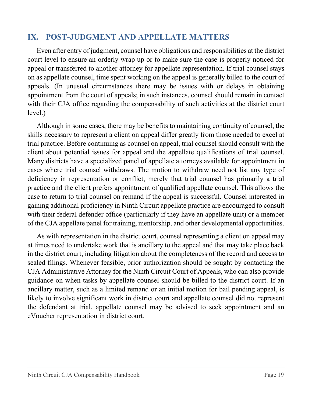#### <span id="page-20-0"></span>**IX. POST-JUDGMENT AND APPELLATE MATTERS**

Even after entry of judgment, counsel have obligations and responsibilities at the district court level to ensure an orderly wrap up or to make sure the case is properly noticed for appeal or transferred to another attorney for appellate representation. If trial counsel stays on as appellate counsel, time spent working on the appeal is generally billed to the court of appeals. (In unusual circumstances there may be issues with or delays in obtaining appointment from the court of appeals; in such instances, counsel should remain in contact with their CJA office regarding the compensability of such activities at the district court level.)

Although in some cases, there may be benefits to maintaining continuity of counsel, the skills necessary to represent a client on appeal differ greatly from those needed to excel at trial practice. Before continuing as counsel on appeal, trial counsel should consult with the client about potential issues for appeal and the appellate qualifications of trial counsel. Many districts have a specialized panel of appellate attorneys available for appointment in cases where trial counsel withdraws. The motion to withdraw need not list any type of deficiency in representation or conflict, merely that trial counsel has primarily a trial practice and the client prefers appointment of qualified appellate counsel. This allows the case to return to trial counsel on remand if the appeal is successful. Counsel interested in gaining additional proficiency in Ninth Circuit appellate practice are encouraged to consult with their federal defender office (particularly if they have an appellate unit) or a member of the CJA appellate panel for training, mentorship, and other developmental opportunities.

As with representation in the district court, counsel representing a client on appeal may at times need to undertake work that is ancillary to the appeal and that may take place back in the district court, including litigation about the completeness of the record and access to sealed filings. Whenever feasible, prior authorization should be sought by contacting the CJA Administrative Attorney for the Ninth Circuit Court of Appeals, who can also provide guidance on when tasks by appellate counsel should be billed to the district court. If an ancillary matter, such as a limited remand or an initial motion for bail pending appeal, is likely to involve significant work in district court and appellate counsel did not represent the defendant at trial, appellate counsel may be advised to seek appointment and an eVoucher representation in district court.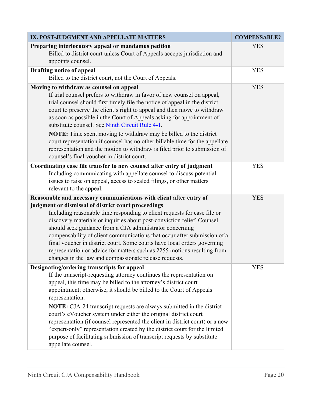| IX. POST-JUDGMENT AND APPELLATE MATTERS                                                                                                                                                                                                                                                                                                                                                                                                                                                                                                                                                                                                                                                         | <b>COMPENSABLE?</b> |
|-------------------------------------------------------------------------------------------------------------------------------------------------------------------------------------------------------------------------------------------------------------------------------------------------------------------------------------------------------------------------------------------------------------------------------------------------------------------------------------------------------------------------------------------------------------------------------------------------------------------------------------------------------------------------------------------------|---------------------|
| Preparing interlocutory appeal or mandamus petition<br>Billed to district court unless Court of Appeals accepts jurisdiction and<br>appoints counsel.                                                                                                                                                                                                                                                                                                                                                                                                                                                                                                                                           | <b>YES</b>          |
| <b>Drafting notice of appeal</b><br>Billed to the district court, not the Court of Appeals.                                                                                                                                                                                                                                                                                                                                                                                                                                                                                                                                                                                                     | <b>YES</b>          |
| Moving to withdraw as counsel on appeal<br>If trial counsel prefers to withdraw in favor of new counsel on appeal,<br>trial counsel should first timely file the notice of appeal in the district<br>court to preserve the client's right to appeal and then move to withdraw<br>as soon as possible in the Court of Appeals asking for appointment of<br>substitute counsel. See Ninth Circuit Rule 4-1.<br><b>NOTE:</b> Time spent moving to withdraw may be billed to the district                                                                                                                                                                                                           | <b>YES</b>          |
| court representation if counsel has no other billable time for the appellate<br>representation and the motion to withdraw is filed prior to submission of<br>counsel's final voucher in district court.                                                                                                                                                                                                                                                                                                                                                                                                                                                                                         |                     |
| Coordinating case file transfer to new counsel after entry of judgment<br>Including communicating with appellate counsel to discuss potential<br>issues to raise on appeal, access to sealed filings, or other matters<br>relevant to the appeal.                                                                                                                                                                                                                                                                                                                                                                                                                                               | <b>YES</b>          |
| Reasonable and necessary communications with client after entry of<br>judgment or dismissal of district court proceedings<br>Including reasonable time responding to client requests for case file or<br>discovery materials or inquiries about post-conviction relief. Counsel<br>should seek guidance from a CJA administrator concerning<br>compensability of client communications that occur after submission of a<br>final voucher in district court. Some courts have local orders governing<br>representation or advice for matters such as 2255 motions resulting from<br>changes in the law and compassionate release requests.                                                       | <b>YES</b>          |
| Designating/ordering transcripts for appeal<br>If the transcript-requesting attorney continues the representation on<br>appeal, this time may be billed to the attorney's district court<br>appointment; otherwise, it should be billed to the Court of Appeals<br>representation.<br>NOTE: CJA-24 transcript requests are always submitted in the district<br>court's eVoucher system under either the original district court<br>representation (if counsel represented the client in district court) or a new<br>"expert-only" representation created by the district court for the limited<br>purpose of facilitating submission of transcript requests by substitute<br>appellate counsel. | <b>YES</b>          |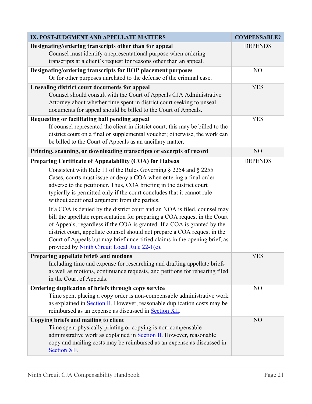| IX. POST-JUDGMENT AND APPELLATE MATTERS                                                                                                                                                                                                                                                                                                                                                                                                                                                                                                                                                                                                                                                                                                                                                                                                                      | <b>COMPENSABLE?</b> |
|--------------------------------------------------------------------------------------------------------------------------------------------------------------------------------------------------------------------------------------------------------------------------------------------------------------------------------------------------------------------------------------------------------------------------------------------------------------------------------------------------------------------------------------------------------------------------------------------------------------------------------------------------------------------------------------------------------------------------------------------------------------------------------------------------------------------------------------------------------------|---------------------|
| Designating/ordering transcripts other than for appeal<br>Counsel must identify a representational purpose when ordering<br>transcripts at a client's request for reasons other than an appeal.                                                                                                                                                                                                                                                                                                                                                                                                                                                                                                                                                                                                                                                              | <b>DEPENDS</b>      |
| Designating/ordering transcripts for BOP placement purposes<br>Or for other purposes unrelated to the defense of the criminal case.                                                                                                                                                                                                                                                                                                                                                                                                                                                                                                                                                                                                                                                                                                                          | N <sub>O</sub>      |
| <b>Unsealing district court documents for appeal</b><br>Counsel should consult with the Court of Appeals CJA Administrative<br>Attorney about whether time spent in district court seeking to unseal<br>documents for appeal should be billed to the Court of Appeals.                                                                                                                                                                                                                                                                                                                                                                                                                                                                                                                                                                                       | <b>YES</b>          |
| Requesting or facilitating bail pending appeal<br>If counsel represented the client in district court, this may be billed to the<br>district court on a final or supplemental voucher; otherwise, the work can<br>be billed to the Court of Appeals as an ancillary matter.                                                                                                                                                                                                                                                                                                                                                                                                                                                                                                                                                                                  | <b>YES</b>          |
| Printing, scanning, or downloading transcripts or excerpts of record                                                                                                                                                                                                                                                                                                                                                                                                                                                                                                                                                                                                                                                                                                                                                                                         | NO                  |
| Preparing Certificate of Appealability (COA) for Habeas<br>Consistent with Rule 11 of the Rules Governing $\S$ 2254 and $\S$ 2255<br>Cases, courts must issue or deny a COA when entering a final order<br>adverse to the petitioner. Thus, COA briefing in the district court<br>typically is permitted only if the court concludes that it cannot rule<br>without additional argument from the parties.<br>If a COA is denied by the district court and an NOA is filed, counsel may<br>bill the appellate representation for preparing a COA request in the Court<br>of Appeals, regardless if the COA is granted. If a COA is granted by the<br>district court, appellate counsel should not prepare a COA request in the<br>Court of Appeals but may brief uncertified claims in the opening brief, as<br>provided by Ninth Circuit Local Rule 22-1(e). | <b>DEPENDS</b>      |
| Preparing appellate briefs and motions<br>Including time and expense for researching and drafting appellate briefs<br>as well as motions, continuance requests, and petitions for rehearing filed<br>in the Court of Appeals.                                                                                                                                                                                                                                                                                                                                                                                                                                                                                                                                                                                                                                | <b>YES</b>          |
| Ordering duplication of briefs through copy service                                                                                                                                                                                                                                                                                                                                                                                                                                                                                                                                                                                                                                                                                                                                                                                                          | N <sub>O</sub>      |
| Time spent placing a copy order is non-compensable administrative work<br>as explained in <b>Section II</b> . However, reasonable duplication costs may be<br>reimbursed as an expense as discussed in Section XII.                                                                                                                                                                                                                                                                                                                                                                                                                                                                                                                                                                                                                                          |                     |
| Copying briefs and mailing to client<br>Time spent physically printing or copying is non-compensable<br>administrative work as explained in <b>Section II</b> . However, reasonable<br>copy and mailing costs may be reimbursed as an expense as discussed in<br>Section XII.                                                                                                                                                                                                                                                                                                                                                                                                                                                                                                                                                                                | NO                  |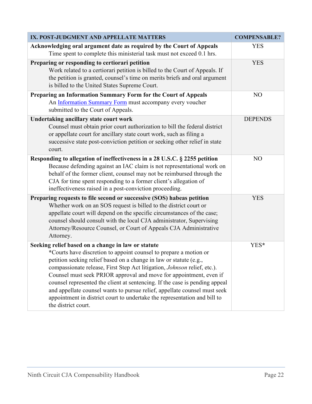| IX. POST-JUDGMENT AND APPELLATE MATTERS                                                                                                                                                                                                                                                                                                                                                                                                                                                                                                                  | <b>COMPENSABLE?</b> |
|----------------------------------------------------------------------------------------------------------------------------------------------------------------------------------------------------------------------------------------------------------------------------------------------------------------------------------------------------------------------------------------------------------------------------------------------------------------------------------------------------------------------------------------------------------|---------------------|
| Acknowledging oral argument date as required by the Court of Appeals<br>Time spent to complete this ministerial task must not exceed 0.1 hrs.                                                                                                                                                                                                                                                                                                                                                                                                            | <b>YES</b>          |
| Preparing or responding to certiorari petition<br>Work related to a certiorari petition is billed to the Court of Appeals. If<br>the petition is granted, counsel's time on merits briefs and oral argument<br>is billed to the United States Supreme Court.                                                                                                                                                                                                                                                                                             | <b>YES</b>          |
| Preparing an Information Summary Form for the Court of Appeals<br>An Information Summary Form must accompany every voucher<br>submitted to the Court of Appeals.                                                                                                                                                                                                                                                                                                                                                                                         | NO                  |
| <b>Undertaking ancillary state court work</b><br>Counsel must obtain prior court authorization to bill the federal district<br>or appellate court for ancillary state court work, such as filing a<br>successive state post-conviction petition or seeking other relief in state<br>court.                                                                                                                                                                                                                                                               | <b>DEPENDS</b>      |
| Responding to allegation of ineffectiveness in a 28 U.S.C. § 2255 petition                                                                                                                                                                                                                                                                                                                                                                                                                                                                               | N <sub>O</sub>      |
| Because defending against an IAC claim is not representational work on<br>behalf of the former client, counsel may not be reimbursed through the<br>CJA for time spent responding to a former client's allegation of<br>ineffectiveness raised in a post-conviction proceeding.                                                                                                                                                                                                                                                                          |                     |
| Preparing requests to file second or successive (SOS) habeas petition                                                                                                                                                                                                                                                                                                                                                                                                                                                                                    | <b>YES</b>          |
| Whether work on an SOS request is billed to the district court or<br>appellate court will depend on the specific circumstances of the case;<br>counsel should consult with the local CJA administrator, Supervising<br>Attorney/Resource Counsel, or Court of Appeals CJA Administrative<br>Attorney.                                                                                                                                                                                                                                                    |                     |
| Seeking relief based on a change in law or statute                                                                                                                                                                                                                                                                                                                                                                                                                                                                                                       | YES*                |
| *Courts have discretion to appoint counsel to prepare a motion or<br>petition seeking relief based on a change in law or statute (e.g.<br>compassionate release, First Step Act litigation, Johnson relief, etc.).<br>Counsel must seek PRIOR approval and move for appointment, even if<br>counsel represented the client at sentencing. If the case is pending appeal<br>and appellate counsel wants to pursue relief, appellate counsel must seek<br>appointment in district court to undertake the representation and bill to<br>the district court. |                     |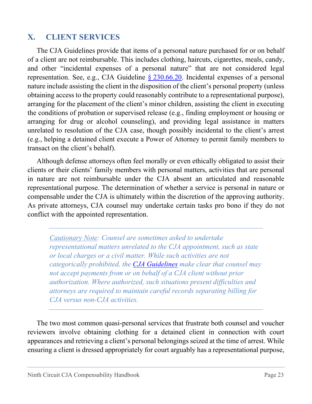#### <span id="page-24-0"></span>**X. CLIENT SERVICES**

The CJA Guidelines provide that items of a personal nature purchased for or on behalf of a client are not reimbursable. This includes clothing, haircuts, cigarettes, meals, candy, and other "incidental expenses of a personal nature" that are not considered legal representation. See, e.g., CJA Guideline § [230.66.20.](https://www.uscourts.gov/rules-policies/judiciary-policies/cja-guidelines/chapter-2-ss-230-compensation-and-expenses#a230_66_20) Incidental expenses of a personal nature include assisting the client in the disposition of the client's personal property (unless obtaining access to the property could reasonably contribute to a representational purpose), arranging for the placement of the client's minor children, assisting the client in executing the conditions of probation or supervised release (e.g., finding employment or housing or arranging for drug or alcohol counseling), and providing legal assistance in matters unrelated to resolution of the CJA case, though possibly incidental to the client's arrest (e.g., helping a detained client execute a Power of Attorney to permit family members to transact on the client's behalf).

Although defense attorneys often feel morally or even ethically obligated to assist their clients or their clients' family members with personal matters, activities that are personal in nature are not reimbursable under the CJA absent an articulated and reasonable representational purpose. The determination of whether a service is personal in nature or compensable under the CJA is ultimately within the discretion of the approving authority. As private attorneys, CJA counsel may undertake certain tasks pro bono if they do not conflict with the appointed representation.

*Cautionary Note: Counsel are sometimes asked to undertake representational matters unrelated to the CJA appointment, such as state or local charges or a civil matter. While such activities are not categorically prohibited, the [CJA Guidelines](https://www.uscourts.gov/rules-policies/judiciary-policies/cja-guidelines/chapter-2-ss-230-compensation-and-expenses#a230_40) make clear that counsel may not accept payments from or on behalf of a CJA client without prior authorization. Where authorized, such situations present difficulties and attorneys are required to maintain careful records separating billing for CJA versus non-CJA activities.*

The two most common quasi-personal services that frustrate both counsel and voucher reviewers involve obtaining clothing for a detained client in connection with court appearances and retrieving a client's personal belongings seized at the time of arrest. While ensuring a client is dressed appropriately for court arguably has a representational purpose,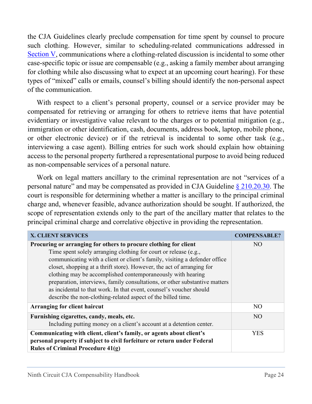the CJA Guidelines clearly preclude compensation for time spent by counsel to procure such clothing. However, similar to scheduling-related communications addressed in [Section V,](#page-10-0) communications where a clothing-related discussion is incidental to some other case-specific topic or issue are compensable (e.g., asking a family member about arranging for clothing while also discussing what to expect at an upcoming court hearing). For these types of "mixed" calls or emails, counsel's billing should identify the non-personal aspect of the communication.

With respect to a client's personal property, counsel or a service provider may be compensated for retrieving or arranging for others to retrieve items that have potential evidentiary or investigative value relevant to the charges or to potential mitigation (e.g., immigration or other identification, cash, documents, address book, laptop, mobile phone, or other electronic device) or if the retrieval is incidental to some other task (e.g., interviewing a case agent). Billing entries for such work should explain how obtaining access to the personal property furthered a representational purpose to avoid being reduced as non-compensable services of a personal nature.

Work on legal matters ancillary to the criminal representation are not "services of a personal nature" and may be compensated as provided in CJA Guideline [§ 210.20.30.](https://www.uscourts.gov/rules-policies/judiciary-policies/cja-guidelines/chapter-2-ss-210-representation-under-cja#a210_20_30) The court is responsible for determining whether a matter is ancillary to the principal criminal charge and, whenever feasible, advance authorization should be sought. If authorized, the scope of representation extends only to the part of the ancillary matter that relates to the principal criminal charge and correlative objective in providing the representation.

| <b>X. CLIENT SERVICES</b>                                                                                                             | <b>COMPENSABLE?</b> |
|---------------------------------------------------------------------------------------------------------------------------------------|---------------------|
| Procuring or arranging for others to procure clothing for client                                                                      | NO <sub>1</sub>     |
| Time spent solely arranging clothing for court or release (e.g.,                                                                      |                     |
| communicating with a client or client's family, visiting a defender office                                                            |                     |
| closet, shopping at a thrift store). However, the act of arranging for<br>clothing may be accomplished contemporaneously with hearing |                     |
| preparation, interviews, family consultations, or other substantive matters                                                           |                     |
| as incidental to that work. In that event, counsel's voucher should                                                                   |                     |
| describe the non-clothing-related aspect of the billed time.                                                                          |                     |
| Arranging for client haircut                                                                                                          | N <sub>O</sub>      |
| Furnishing cigarettes, candy, meals, etc.                                                                                             | NO <sub>1</sub>     |
| Including putting money on a client's account at a detention center.                                                                  |                     |
| Communicating with client, client's family, or agents about client's                                                                  | <b>YES</b>          |
| personal property if subject to civil forfeiture or return under Federal                                                              |                     |
| <b>Rules of Criminal Procedure <math>41(g)</math></b>                                                                                 |                     |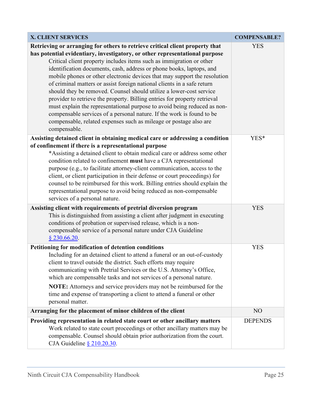| <b>X. CLIENT SERVICES</b>                                                                                                                                                                                                                                                                                                                                                                                                                                                                                                                                                                                                                                                                                                                                                                                                                                         | <b>COMPENSABLE?</b> |
|-------------------------------------------------------------------------------------------------------------------------------------------------------------------------------------------------------------------------------------------------------------------------------------------------------------------------------------------------------------------------------------------------------------------------------------------------------------------------------------------------------------------------------------------------------------------------------------------------------------------------------------------------------------------------------------------------------------------------------------------------------------------------------------------------------------------------------------------------------------------|---------------------|
| Retrieving or arranging for others to retrieve critical client property that<br>has potential evidentiary, investigatory, or other representational purpose<br>Critical client property includes items such as immigration or other<br>identification documents, cash, address or phone books, laptops, and<br>mobile phones or other electronic devices that may support the resolution<br>of criminal matters or assist foreign national clients in a safe return<br>should they be removed. Counsel should utilize a lower-cost service<br>provider to retrieve the property. Billing entries for property retrieval<br>must explain the representational purpose to avoid being reduced as non-<br>compensable services of a personal nature. If the work is found to be<br>compensable, related expenses such as mileage or postage also are<br>compensable. | <b>YES</b>          |
| Assisting detained client in obtaining medical care or addressing a condition<br>of confinement if there is a representational purpose<br>*Assisting a detained client to obtain medical care or address some other<br>condition related to confinement must have a CJA representational<br>purpose (e.g., to facilitate attorney-client communication, access to the<br>client, or client participation in their defense or court proceedings) for<br>counsel to be reimbursed for this work. Billing entries should explain the<br>representational purpose to avoid being reduced as non-compensable<br>services of a personal nature.                                                                                                                                                                                                                         | YES*                |
| Assisting client with requirements of pretrial diversion program<br>This is distinguished from assisting a client after judgment in executing<br>conditions of probation or supervised release, which is a non-<br>compensable service of a personal nature under CJA Guideline<br>$§$ 230.66.20.                                                                                                                                                                                                                                                                                                                                                                                                                                                                                                                                                                 | <b>YES</b>          |
| Petitioning for modification of detention conditions<br>Including for an detained client to attend a funeral or an out-of-custody<br>client to travel outside the district. Such efforts may require<br>communicating with Pretrial Services or the U.S. Attorney's Office,<br>which are compensable tasks and not services of a personal nature.<br>NOTE: Attorneys and service providers may not be reimbursed for the<br>time and expense of transporting a client to attend a funeral or other<br>personal matter.                                                                                                                                                                                                                                                                                                                                            | <b>YES</b>          |
| Arranging for the placement of minor children of the client                                                                                                                                                                                                                                                                                                                                                                                                                                                                                                                                                                                                                                                                                                                                                                                                       | N <sub>O</sub>      |
| Providing representation in related state court or other ancillary matters<br>Work related to state court proceedings or other ancillary matters may be<br>compensable. Counsel should obtain prior authorization from the court.<br>CJA Guideline $§$ 210.20.30.                                                                                                                                                                                                                                                                                                                                                                                                                                                                                                                                                                                                 | <b>DEPENDS</b>      |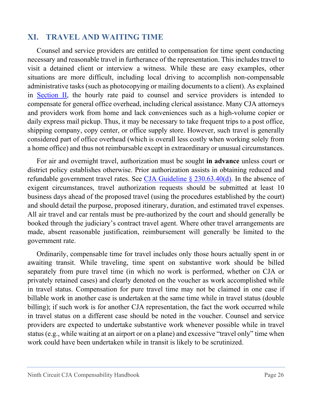#### <span id="page-27-0"></span>**XI. TRAVEL AND WAITING TIME**

Counsel and service providers are entitled to compensation for time spent conducting necessary and reasonable travel in furtherance of the representation. This includes travel to visit a detained client or interview a witness. While these are easy examples, other situations are more difficult, including local driving to accomplish non-compensable administrative tasks (such as photocopying or mailing documents to a client). As explained in [Section II,](#page-3-1) the hourly rate paid to counsel and service providers is intended to compensate for general office overhead, including clerical assistance. Many CJA attorneys and providers work from home and lack conveniences such as a high-volume copier or daily express mail pickup. Thus, it may be necessary to take frequent trips to a post office, shipping company, copy center, or office supply store. However, such travel is generally considered part of office overhead (which is overall less costly when working solely from a home office) and thus not reimbursable except in extraordinary or unusual circumstances.

For air and overnight travel, authorization must be sought **in advance** unless court or district policy establishes otherwise. Prior authorization assists in obtaining reduced and refundable government travel rates. See CJA Guideline  $\S 230.63.40(d)$ . In the absence of exigent circumstances, travel authorization requests should be submitted at least 10 business days ahead of the proposed travel (using the procedures established by the court) and should detail the purpose, proposed itinerary, duration, and estimated travel expenses. All air travel and car rentals must be pre-authorized by the court and should generally be booked through the judiciary's contract travel agent. Where other travel arrangements are made, absent reasonable justification, reimbursement will generally be limited to the government rate.

Ordinarily, compensable time for travel includes only those hours actually spent in or awaiting transit. While traveling, time spent on substantive work should be billed separately from pure travel time (in which no work is performed, whether on CJA or privately retained cases) and clearly denoted on the voucher as work accomplished while in travel status. Compensation for pure travel time may not be claimed in one case if billable work in another case is undertaken at the same time while in travel status (double billing); if such work is for another CJA representation, the fact the work occurred while in travel status on a different case should be noted in the voucher. Counsel and service providers are expected to undertake substantive work whenever possible while in travel status (e.g., while waiting at an airport or on a plane) and excessive "travel only" time when work could have been undertaken while in transit is likely to be scrutinized.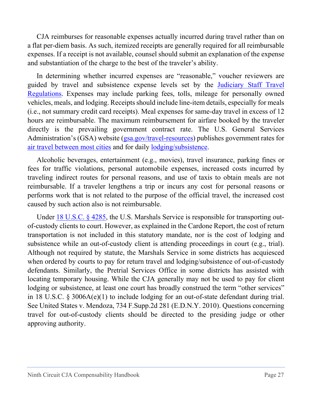CJA reimburses for reasonable expenses actually incurred during travel rather than on a flat per-diem basis. As such, itemized receipts are generally required for all reimbursable expenses. If a receipt is not available, counsel should submit an explanation of the expense and substantiation of the charge to the best of the traveler's ability.

In determining whether incurred expenses are "reasonable," voucher reviewers are guided by travel and subsistence expense levels set by the [Judiciary Staff Travel](https://www.uscourts.gov/rules-policies/judiciary-policies/judiciary-staff-travel-regulations)  [Regulations.](https://www.uscourts.gov/rules-policies/judiciary-policies/judiciary-staff-travel-regulations) Expenses may include parking fees, tolls, mileage for personally owned vehicles, meals, and lodging. Receipts should include line-item details, especially for meals (i.e., not summary credit card receipts). Meal expenses for same-day travel in excess of 12 hours are reimbursable. The maximum reimbursement for airfare booked by the traveler directly is the prevailing government contract rate. The U.S. General Services Administration's (GSA) website [\(gsa.gov/travel-resources\)](https://www.gsa.gov/travel-resources) publishes government rates for air [travel between most cities](https://cpsearch.fas.gsa.gov/cpsearch/search.do) and for daily [lodging/subsistence.](https://www.gsa.gov/travel/plan-book/per-diem-rates)

Alcoholic beverages, entertainment (e.g., movies), travel insurance, parking fines or fees for traffic violations, personal automobile expenses, increased costs incurred by traveling indirect routes for personal reasons, and use of taxis to obtain meals are not reimbursable. If a traveler lengthens a trip or incurs any cost for personal reasons or performs work that is not related to the purpose of the official travel, the increased cost caused by such action also is not reimbursable.

Under [18 U.S.C. § 4285,](https://www.law.cornell.edu/uscode/text/18/4285) the U.S. Marshals Service is responsible for transporting outof-custody clients to court. However, as explained in the Cardone Report, the cost of return transportation is not included in this statutory mandate, nor is the cost of lodging and subsistence while an out-of-custody client is attending proceedings in court (e.g., trial). Although not required by statute, the Marshals Service in some districts has acquiesced when ordered by courts to pay for return travel and lodging/subsistence of out-of-custody defendants. Similarly, the Pretrial Services Office in some districts has assisted with locating temporary housing. While the CJA generally may not be used to pay for client lodging or subsistence, at least one court has broadly construed the term "other services" in 18 U.S.C. § 3006A(e)(1) to include lodging for an out-of-state defendant during trial. See United States v. Mendoza, 734 F.Supp.2d 281 (E.D.N.Y. 2010). Questions concerning travel for out-of-custody clients should be directed to the presiding judge or other approving authority.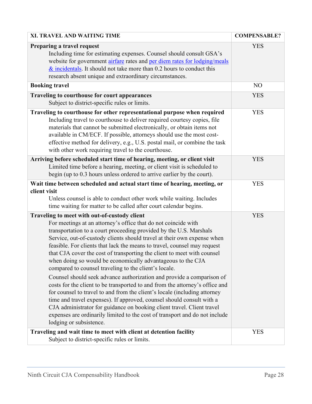| XI. TRAVEL AND WAITING TIME                                                                                                                                                                                                                                                                                                                                                                                                                                                                                                                                                                                                                                                                                                                                                                                                                                                                                                                                                                                                                       | <b>COMPENSABLE?</b> |
|---------------------------------------------------------------------------------------------------------------------------------------------------------------------------------------------------------------------------------------------------------------------------------------------------------------------------------------------------------------------------------------------------------------------------------------------------------------------------------------------------------------------------------------------------------------------------------------------------------------------------------------------------------------------------------------------------------------------------------------------------------------------------------------------------------------------------------------------------------------------------------------------------------------------------------------------------------------------------------------------------------------------------------------------------|---------------------|
| Preparing a travel request<br>Including time for estimating expenses. Counsel should consult GSA's<br>website for government airfare rates and per diem rates for lodging/meals<br>$\&$ incidentals. It should not take more than 0.2 hours to conduct this<br>research absent unique and extraordinary circumstances.                                                                                                                                                                                                                                                                                                                                                                                                                                                                                                                                                                                                                                                                                                                            | <b>YES</b>          |
| <b>Booking travel</b>                                                                                                                                                                                                                                                                                                                                                                                                                                                                                                                                                                                                                                                                                                                                                                                                                                                                                                                                                                                                                             | N <sub>O</sub>      |
| <b>Traveling to courthouse for court appearances</b><br>Subject to district-specific rules or limits.                                                                                                                                                                                                                                                                                                                                                                                                                                                                                                                                                                                                                                                                                                                                                                                                                                                                                                                                             | <b>YES</b>          |
| Traveling to courthouse for other representational purpose when required<br>Including travel to courthouse to deliver required courtesy copies, file<br>materials that cannot be submitted electronically, or obtain items not<br>available in CM/ECF. If possible, attorneys should use the most cost-<br>effective method for delivery, e.g., U.S. postal mail, or combine the task<br>with other work requiring travel to the courthouse.                                                                                                                                                                                                                                                                                                                                                                                                                                                                                                                                                                                                      | <b>YES</b>          |
| Arriving before scheduled start time of hearing, meeting, or client visit<br>Limited time before a hearing, meeting, or client visit is scheduled to<br>begin (up to 0.3 hours unless ordered to arrive earlier by the court).                                                                                                                                                                                                                                                                                                                                                                                                                                                                                                                                                                                                                                                                                                                                                                                                                    | <b>YES</b>          |
| Wait time between scheduled and actual start time of hearing, meeting, or<br>client visit<br>Unless counsel is able to conduct other work while waiting. Includes<br>time waiting for matter to be called after court calendar begins.                                                                                                                                                                                                                                                                                                                                                                                                                                                                                                                                                                                                                                                                                                                                                                                                            | <b>YES</b>          |
| Traveling to meet with out-of-custody client<br>For meetings at an attorney's office that do not coincide with<br>transportation to a court proceeding provided by the U.S. Marshals<br>Service, out-of-custody clients should travel at their own expense when<br>feasible. For clients that lack the means to travel, counsel may request<br>that CJA cover the cost of transporting the client to meet with counsel<br>when doing so would be economically advantageous to the CJA<br>compared to counsel traveling to the client's locale.<br>Counsel should seek advance authorization and provide a comparison of<br>costs for the client to be transported to and from the attorney's office and<br>for counsel to travel to and from the client's locale (including attorney<br>time and travel expenses). If approved, counsel should consult with a<br>CJA administrator for guidance on booking client travel. Client travel<br>expenses are ordinarily limited to the cost of transport and do not include<br>lodging or subsistence. | <b>YES</b>          |
| Traveling and wait time to meet with client at detention facility<br>Subject to district-specific rules or limits.                                                                                                                                                                                                                                                                                                                                                                                                                                                                                                                                                                                                                                                                                                                                                                                                                                                                                                                                | <b>YES</b>          |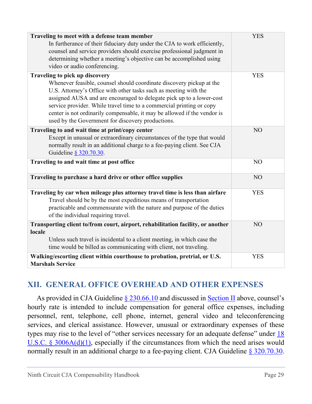| Traveling to meet with a defense team member<br>In furtherance of their fiduciary duty under the CJA to work efficiently,<br>counsel and service providers should exercise professional judgment in<br>determining whether a meeting's objective can be accomplished using<br>video or audio conferencing.                                                                                                                                                  | <b>YES</b>     |
|-------------------------------------------------------------------------------------------------------------------------------------------------------------------------------------------------------------------------------------------------------------------------------------------------------------------------------------------------------------------------------------------------------------------------------------------------------------|----------------|
| Traveling to pick up discovery<br>Whenever feasible, counsel should coordinate discovery pickup at the<br>U.S. Attorney's Office with other tasks such as meeting with the<br>assigned AUSA and are encouraged to delegate pick up to a lower-cost<br>service provider. While travel time to a commercial printing or copy<br>center is not ordinarily compensable, it may be allowed if the vendor is<br>used by the Government for discovery productions. | <b>YES</b>     |
| Traveling to and wait time at print/copy center<br>Except in unusual or extraordinary circumstances of the type that would<br>normally result in an additional charge to a fee-paying client. See CJA<br>Guideline § 320.70.30.                                                                                                                                                                                                                             | N <sub>O</sub> |
| Traveling to and wait time at post office                                                                                                                                                                                                                                                                                                                                                                                                                   | N <sub>O</sub> |
| Traveling to purchase a hard drive or other office supplies                                                                                                                                                                                                                                                                                                                                                                                                 | NO             |
| Traveling by car when mileage plus attorney travel time is less than airfare<br>Travel should be by the most expeditious means of transportation<br>practicable and commensurate with the nature and purpose of the duties<br>of the individual requiring travel.                                                                                                                                                                                           | <b>YES</b>     |
| Transporting client to/from court, airport, rehabilitation facility, or another<br>locale<br>Unless such travel is incidental to a client meeting, in which case the<br>time would be billed as communicating with client, not traveling.                                                                                                                                                                                                                   | N <sub>O</sub> |
| Walking/escorting client within courthouse to probation, pretrial, or U.S.<br><b>Marshals Service</b>                                                                                                                                                                                                                                                                                                                                                       | <b>YES</b>     |

## <span id="page-30-0"></span>**XII. GENERAL OFFICE OVERHEAD AND OTHER EXPENSES**

As provided in CJA Guideline [§ 230.66.10](https://www.uscourts.gov/rules-policies/judiciary-policies/cja-guidelines/chapter-2-ss-230-compensation-and-expenses#a230_66_10) and discussed in [Section II](#page-3-1) above, counsel's hourly rate is intended to include compensation for general office expenses, including personnel, rent, telephone, cell phone, internet, general video and teleconferencing services, and clerical assistance. However, unusual or extraordinary expenses of these types may rise to the level of "other services necessary for an adequate defense" under [18](https://www.law.cornell.edu/uscode/text/18/3006A#d_1)  [U.S.C. § 3006A\(d\)\(1\),](https://www.law.cornell.edu/uscode/text/18/3006A#d_1) especially if the circumstances from which the need arises would normally result in an additional charge to a fee-paying client. CJA Guideline § [320.70.30.](https://www.uscourts.gov/rules-policies/judiciary-policies/cja-guidelines/chapter-3-ss-320-authorization-investigative-expert#a320_70_30)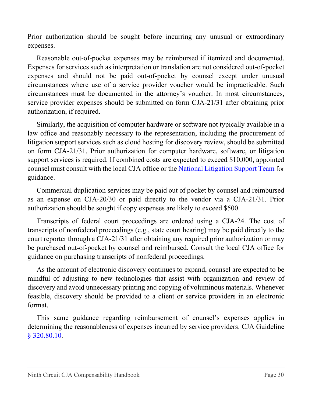Prior authorization should be sought before incurring any unusual or extraordinary expenses.

Reasonable out-of-pocket expenses may be reimbursed if itemized and documented. Expenses for services such as interpretation or translation are not considered out-of-pocket expenses and should not be paid out-of-pocket by counsel except under unusual circumstances where use of a service provider voucher would be impracticable. Such circumstances must be documented in the attorney's voucher. In most circumstances, service provider expenses should be submitted on form CJA-21/31 after obtaining prior authorization, if required.

Similarly, the acquisition of computer hardware or software not typically available in a law office and reasonably necessary to the representation, including the procurement of litigation support services such as cloud hosting for discovery review, should be submitted on form CJA-21/31. Prior authorization for computer hardware, software, or litigation support services is required. If combined costs are expected to exceed \$10,000, appointed counsel must consult with the local CJA office or the [National Litigation Support Team](https://www.fd.org/litigation-support/who-national-litigation-support-team) for guidance.

Commercial duplication services may be paid out of pocket by counsel and reimbursed as an expense on CJA-20/30 or paid directly to the vendor via a CJA-21/31. Prior authorization should be sought if copy expenses are likely to exceed \$500.

Transcripts of federal court proceedings are ordered using a CJA-24. The cost of transcripts of nonfederal proceedings (e.g., state court hearing) may be paid directly to the court reporter through a CJA-21/31 after obtaining any required prior authorization or may be purchased out-of-pocket by counsel and reimbursed. Consult the local CJA office for guidance on purchasing transcripts of nonfederal proceedings.

As the amount of electronic discovery continues to expand, counsel are expected to be mindful of adjusting to new technologies that assist with organization and review of discovery and avoid unnecessary printing and copying of voluminous materials. Whenever feasible, discovery should be provided to a client or service providers in an electronic format.

This same guidance regarding reimbursement of counsel's expenses applies in determining the reasonableness of expenses incurred by service providers. CJA Guideline [§ 320.80.10.](https://www.uscourts.gov/rules-policies/judiciary-policies/cja-guidelines/chapter-3-ss-320-authorization-investigative-expert#a320_80)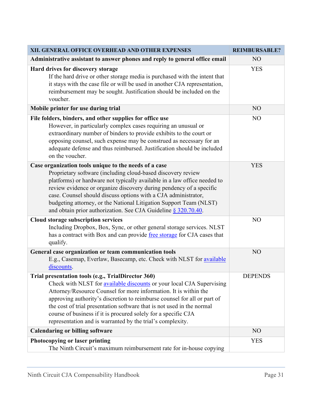| XII. GENERAL OFFICE OVERHEAD AND OTHER EXPENSES                                                                                                                                                                                                                                                                                                                                                                                                                                       | <b>REIMBURSABLE?</b> |
|---------------------------------------------------------------------------------------------------------------------------------------------------------------------------------------------------------------------------------------------------------------------------------------------------------------------------------------------------------------------------------------------------------------------------------------------------------------------------------------|----------------------|
| Administrative assistant to answer phones and reply to general office email                                                                                                                                                                                                                                                                                                                                                                                                           | N <sub>O</sub>       |
| Hard drives for discovery storage<br>If the hard drive or other storage media is purchased with the intent that<br>it stays with the case file or will be used in another CJA representation,<br>reimbursement may be sought. Justification should be included on the<br>voucher.                                                                                                                                                                                                     | <b>YES</b>           |
| Mobile printer for use during trial                                                                                                                                                                                                                                                                                                                                                                                                                                                   | N <sub>O</sub>       |
| File folders, binders, and other supplies for office use<br>However, in particularly complex cases requiring an unusual or<br>extraordinary number of binders to provide exhibits to the court or<br>opposing counsel, such expense may be construed as necessary for an<br>adequate defense and thus reimbursed. Justification should be included<br>on the voucher.                                                                                                                 | N <sub>O</sub>       |
| Case organization tools unique to the needs of a case<br>Proprietary software (including cloud-based discovery review<br>platforms) or hardware not typically available in a law office needed to<br>review evidence or organize discovery during pendency of a specific<br>case. Counsel should discuss options with a CJA administrator,<br>budgeting attorney, or the National Litigation Support Team (NLST)<br>and obtain prior authorization. See CJA Guideline § 320.70.40.    | <b>YES</b>           |
| Cloud storage subscription services<br>Including Dropbox, Box, Sync, or other general storage services. NLST<br>has a contract with Box and can provide free storage for CJA cases that<br>qualify.                                                                                                                                                                                                                                                                                   | N <sub>O</sub>       |
| General case organization or team communication tools<br>E.g., Casemap, Everlaw, Basecamp, etc. Check with NLST for available<br>discounts.                                                                                                                                                                                                                                                                                                                                           | NO                   |
| Trial presentation tools (e.g., TrialDirector 360)<br>Check with NLST for available discounts or your local CJA Supervising<br>Attorney/Resource Counsel for more information. It is within the<br>approving authority's discretion to reimburse counsel for all or part of<br>the cost of trial presentation software that is not used in the normal<br>course of business if it is procured solely for a specific CJA<br>representation and is warranted by the trial's complexity. | <b>DEPENDS</b>       |
| <b>Calendaring or billing software</b>                                                                                                                                                                                                                                                                                                                                                                                                                                                | N <sub>O</sub>       |
| Photocopying or laser printing<br>The Ninth Circuit's maximum reimbursement rate for in-house copying                                                                                                                                                                                                                                                                                                                                                                                 | <b>YES</b>           |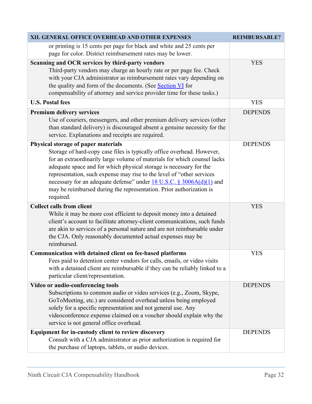| XII. GENERAL OFFICE OVERHEAD AND OTHER EXPENSES                                                                                                                                                                                                                                                                                                                                                                                                                                                      | <b>REIMBURSABLE?</b> |
|------------------------------------------------------------------------------------------------------------------------------------------------------------------------------------------------------------------------------------------------------------------------------------------------------------------------------------------------------------------------------------------------------------------------------------------------------------------------------------------------------|----------------------|
| or printing is 15 cents per page for black and white and 25 cents per<br>page for color. District reimbursement rates may be lower.                                                                                                                                                                                                                                                                                                                                                                  |                      |
| Scanning and OCR services by third-party vendors<br>Third-party vendors may charge an hourly rate or per page fee. Check<br>with your CJA administrator as reimbursement rates vary depending on<br>the quality and form of the documents. (See Section VI for<br>compensability of attorney and service provider time for these tasks.)                                                                                                                                                             | <b>YES</b>           |
| <b>U.S. Postal fees</b>                                                                                                                                                                                                                                                                                                                                                                                                                                                                              | <b>YES</b>           |
| Premium delivery services<br>Use of couriers, messengers, and other premium delivery services (other<br>than standard delivery) is discouraged absent a genuine necessity for the<br>service. Explanations and receipts are required.                                                                                                                                                                                                                                                                | <b>DEPENDS</b>       |
| Physical storage of paper materials<br>Storage of hard-copy case files is typically office overhead. However,<br>for an extraordinarily large volume of materials for which counsel lacks<br>adequate space and for which physical storage is necessary for the<br>representation, such expense may rise to the level of "other services<br>necessary for an adequate defense" under 18 U.S.C. § 3006A(d)(1) and<br>may be reimbursed during the representation. Prior authorization is<br>required. | <b>DEPENDS</b>       |
| <b>Collect calls from client</b><br>While it may be more cost efficient to deposit money into a detained<br>client's account to facilitate attorney-client communications, such funds<br>are akin to services of a personal nature and are not reimbursable under<br>the CJA. Only reasonably documented actual expenses may be<br>reimbursed.                                                                                                                                                       | <b>YES</b>           |
| Communication with detained client on fee-based platforms<br>Fees paid to detention center vendors for calls, emails, or video visits<br>with a detained client are reimbursable if they can be reliably linked to a<br>particular client/representation.                                                                                                                                                                                                                                            | <b>YES</b>           |
| Video or audio-conferencing tools                                                                                                                                                                                                                                                                                                                                                                                                                                                                    | <b>DEPENDS</b>       |
| Subscriptions to common audio or video services (e.g., Zoom, Skype,<br>GoToMeeting, etc.) are considered overhead unless being employed<br>solely for a specific representation and not general use. Any<br>videoconference expense claimed on a voucher should explain why the<br>service is not general office overhead.                                                                                                                                                                           |                      |
| Equipment for in-custody client to review discovery<br>Consult with a CJA administrator as prior authorization is required for<br>the purchase of laptops, tablets, or audio devices.                                                                                                                                                                                                                                                                                                                | <b>DEPENDS</b>       |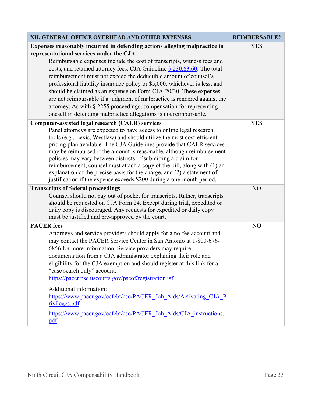| XII. GENERAL OFFICE OVERHEAD AND OTHER EXPENSES                                                                                                                                                                                                                                                                                                                                                                                                                                                                                                                                                                                                                                                                               | <b>REIMBURSABLE?</b> |
|-------------------------------------------------------------------------------------------------------------------------------------------------------------------------------------------------------------------------------------------------------------------------------------------------------------------------------------------------------------------------------------------------------------------------------------------------------------------------------------------------------------------------------------------------------------------------------------------------------------------------------------------------------------------------------------------------------------------------------|----------------------|
| Expenses reasonably incurred in defending actions alleging malpractice in<br>representational services under the CJA<br>Reimbursable expenses include the cost of transcripts, witness fees and<br>costs, and retained attorney fees. CJA Guideline $\S$ 230.63.60. The total<br>reimbursement must not exceed the deductible amount of counsel's<br>professional liability insurance policy or \$5,000, whichever is less, and<br>should be claimed as an expense on Form CJA-20/30. These expenses<br>are not reimbursable if a judgment of malpractice is rendered against the<br>attorney. As with § 2255 proceedings, compensation for representing<br>oneself in defending malpractice allegations is not reimbursable. | <b>YES</b>           |
| Computer-assisted legal research (CALR) services<br>Panel attorneys are expected to have access to online legal research<br>tools (e.g., Lexis, Westlaw) and should utilize the most cost-efficient<br>pricing plan available. The CJA Guidelines provide that CALR services<br>may be reimbursed if the amount is reasonable, although reimbursement<br>policies may vary between districts. If submitting a claim for<br>reimbursement, counsel must attach a copy of the bill, along with (1) an<br>explanation of the precise basis for the charge, and (2) a statement of<br>justification if the expense exceeds \$200 during a one-month period.                                                                       | <b>YES</b>           |
| <b>Transcripts of federal proceedings</b><br>Counsel should not pay out of pocket for transcripts. Rather, transcripts<br>should be requested on CJA Form 24. Except during trial, expedited or<br>daily copy is discouraged. Any requests for expedited or daily copy<br>must be justified and pre-approved by the court.                                                                                                                                                                                                                                                                                                                                                                                                    | NO                   |
| <b>PACER</b> fees<br>Attorneys and service providers should apply for a no-fee account and<br>may contact the PACER Service Center in San Antonio at 1-800-676-<br>6856 for more information. Service providers may require<br>documentation from a CJA administrator explaining their role and<br>eligibility for the CJA exemption and should register at this link for a<br>"case search only" account:<br>https://pacer.psc.uscourts.gov/pscof/registration.jsf<br>Additional information:<br>https://www.pacer.gov/ecfcbt/cso/PACER Job Aids/Activating CJA P<br>rivileges.pdf<br>https://www.pacer.gov/ecfcbt/cso/PACER Job Aids/CJA instructions.<br>pdf                                                               | N <sub>O</sub>       |